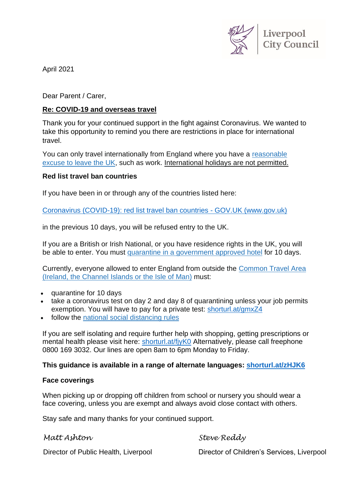

April 2021

Dear Parent / Carer,

# **Re: COVID-19 and overseas travel**

Thank you for your continued support in the fight against Coronavirus. We wanted to take this opportunity to remind you there are restrictions in place for international travel.

You can only travel internationally from England where you have a [reasonable](https://www.gov.uk/guidance/coronavirus-covid-19-declaration-form-for-international-travel) [excuse](https://www.gov.uk/guidance/coronavirus-covid-19-declaration-form-for-international-travel) to leave the UK, such as work. International holidays are not permitted.

### **Red list travel ban countries**

If you have been in or through any of the countries listed here:

[Coronavirus \(COVID-19\): red list travel ban countries -](https://www.gov.uk/guidance/transport-measures-to-protect-the-uk-from-variant-strains-of-covid-19#travel-bans-to-the-uk---banned-countries) GOV.UK (www.gov.uk)

in the previous 10 days, you will be refused entry to the UK.

If you are a British or Irish National, or you have residence rights in the UK, you will be able to enter. You must quarantine in a [government](https://www.gov.uk/guidance/booking-and-staying-in-a-quarantine-hotel-when-you-arrive-in-england) approved hotel for 10 days.

Currently, everyone allowed to enter England from outside the [Common](https://www.gov.uk/government/publications/common-travel-area-guidance) Travel Area (Ireland, the [Channel](https://www.gov.uk/government/publications/common-travel-area-guidance) Islands or the Isle of Man) must:

- quarantine for 10 days
- take a coronavirus test on day 2 and day 8 of quarantining unless your job permits exemption. You will have to pay for a private test: [shorturl.at/gmxZ4](https://www.gov.uk/guidance/coronavirus-covid-19-testing-for-people-travelling-to-england?step-by-step-nav=8c0c7b83-5e0b-4bed-9121-1c394e2f96f3)
- follow the national social [distancing](https://www.gov.uk/guidance/covid-19-coronavirus-restrictions-what-you-can-and-cannot-do) rules

If you are self isolating and require further help with shopping, getting prescriptions or mental health please visit here: [shorturl.at/fjyK0](https://liverpool.gov.uk/communities-and-safety/emergency-planning/coronavirus/help-for-people-and-communities/ask-for-help/) Alternatively, please call freephone 0800 169 3032. Our lines are open 8am to 6pm Monday to Friday.

### **This guidance is available in a range of alternate languages: [shorturl.at/zHJK6](https://www.gov.uk/guidance/covid-19-coronavirus-restrictions-what-you-can-and-cannot-do)**

#### **Face coverings**

When picking up or dropping off children from school or nursery you should wear a face covering, unless you are exempt and always avoid close contact with others.

Stay safe and many thanks for your continued support.

*Matt Ashton*

*Steve Reddy*

Director of Public Health, Liverpool

Director of Children's Services, Liverpool